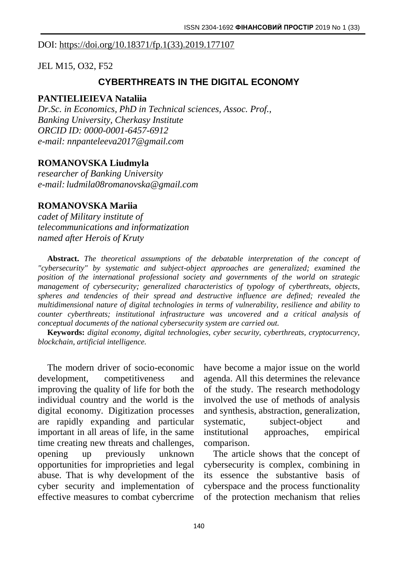#### DOI: [https://doi.org/10.18371/fp.1\(33\).2019.177107](https://doi.org/10.18371/fp.1(33).2019.177107)

JEL M15, O32, F52

# **CYBERTHREATS IN THE DIGITAL ECONOMY**

#### **PANTIELIEIEVA Nataliia**

*Dr.Sc. in Economics, PhD in Technical sciences, Assoc. Prof., Banking University, Cherkasy Institute ORCID ID: 0000-0001-6457-6912 e-mail: nnpanteleeva2017@gmail.com*

## **ROMANOVSKA Liudmyla**

*researcher of Banking University e-mail: ludmila08romanovska@gmail.com*

## **ROMANOVSKA Mariia**

*cadet of Military institute of telecommunications and informatization named after Herois of Kruty*

**Abstract.** *The theoretical assumptions of the debatable interpretation of the concept of "cybersecurity" by systematic and subject-object approaches are generalized; examined the position of the international professional society and governments of the world on strategic management of cybersecurity; generalized characteristics of typology of cyberthreats, objects, spheres and tendencies of their spread and destructive influence are defined; revealed the multidimensional nature of digital technologies in terms of vulnerability, resilience and ability to counter cyberthreats; institutional infrastructure was uncovered and a critical analysis of conceptual documents of the national cybersecurity system are carried out.*

**Keywords:** *digital economy, digital technologies, cyber security, cyberthreats, cryptocurrency, blockchain, artificial intelligence.*

The modern driver of socio-economic development, competitiveness and improving the quality of life for both the individual country and the world is the digital economy. Digitization processes are rapidly expanding and particular important in all areas of life, in the same time creating new threats and challenges, opening up previously unknown opportunities for improprieties and legal abuse. That is why development of the cyber security and implementation of effective measures to combat cybercrime

have become a major issue on the world agenda. All this determines the relevance of the study. The research methodology involved the use of methods of analysis and synthesis, abstraction, generalization, systematic, subject-object and institutional approaches, empirical comparison.

The article shows that the concept of cybersecurity is complex, combining in its essence the substantive basis of cyberspace and the process functionality of the protection mechanism that relies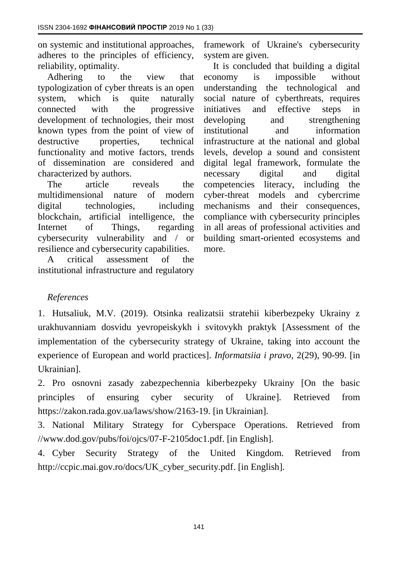on systemic and institutional approaches, adheres to the principles of efficiency, reliability, optimality.

Adhering to the view that typologization of cyber threats is an open system, which is quite naturally connected with the progressive development of technologies, their most known types from the point of view of destructive properties, technical functionality and motive factors, trends of dissemination are considered and characterized by authors.

The article reveals the multidimensional nature of modern digital technologies, including blockchain, artificial intelligence, the Internet of Things, regarding cybersecurity vulnerability and / or resilience and cybersecurity capabilities.

A critical assessment of the institutional infrastructure and regulatory framework of Ukraine's cybersecurity system are given.

It is concluded that building a digital economy is impossible without understanding the technological and social nature of cyberthreats, requires initiatives and effective steps in developing and strengthening institutional and information infrastructure at the national and global levels, develop a sound and consistent digital legal framework, formulate the necessary digital and digital competencies literacy, including the cyber-threat models and cybercrime mechanisms and their consequences, compliance with cybersecurity principles in all areas of professional activities and building smart-oriented ecosystems and more.

## *References*

1. Hutsaliuk, M.V. (2019). Otsinka realizatsii stratehii kiberbezpeky Ukrainy z urakhuvanniam dosvidu yevropeiskykh i svitovykh praktyk [Assessment of the implementation of the cybersecurity strategy of Ukraine, taking into account the experience of European and world practices]. *Informatsiia i pravo,* 2(29), 90-99. [in Ukrainian].

2. Pro osnovni zasady zabezpechennia kiberbezpeky Ukrainy [On the basic principles of ensuring cyber security of Ukraine]. Retrieved from [https://zakon.rada.gov.ua/laws/show/2163-19.](https://zakon.rada.gov.ua/laws/show/2163-19) [in Ukrainian].

3. National Military Strategy for Cyberspace Operations. Retrieved from //www.dod.gov/pubs/foi/ojcs/07-F-2105doc1.pdf. [in English].

4. Cyber Security Strategy of the United Kingdom. Retrieved from [http://ccpic.mai.gov.ro/docs/UK\\_cyber\\_security.pdf.](http://ccpic.mai.gov.ro/docs/UK_cyber_security.pdf) [in English].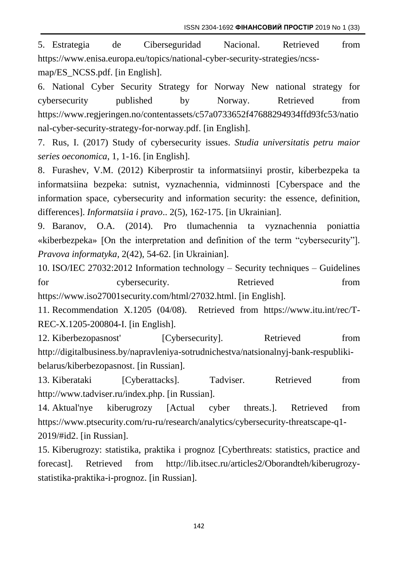ISSN 2304-1692 **ФІНАНСОВИЙ ПРОСТІР** 2019 No 1 (33)

5. Estrategia de Ciberseguridad Nacional. Retrieved from [https://www.enisa.europa.eu/topics/national-cyber-security-strategies/ncss](https://www.enisa.europa.eu/topics/national-cyber-security-strategies/ncss-map/ES_NCSS.pdf)[map/ES\\_NCSS.pdf.](https://www.enisa.europa.eu/topics/national-cyber-security-strategies/ncss-map/ES_NCSS.pdf) [in English].

6. National Cyber Security Strategy for Norway New national strategy for cybersecurity published by Norway. Retrieved from [https://www.regjeringen.no/contentassets/c57a0733652f47688294934ffd93fc53/natio](https://www.regjeringen.no/contentassets/c57a0733652f47688294934ffd93fc53/national-cyber-security-strategy-for-norway.pdf) [nal-cyber-security-strategy-for-norway.pdf.](https://www.regjeringen.no/contentassets/c57a0733652f47688294934ffd93fc53/national-cyber-security-strategy-for-norway.pdf) [in English].

7. Rus, I. (2017) Study of cybersecurity issues. *[Studia universitatis petru maior](https://econpapers.repec.org/article/pmuoecono/)  [series oeconomica](https://econpapers.repec.org/article/pmuoecono/)*, 1, 1-16. [in English].

8. Furashev, V.M. (2012) Kiberprostir ta informatsiinyi prostir, kiberbezpeka ta informatsiina bezpeka: sutnist, vyznachennia, vidminnosti [Cyberspace and the information space, cybersecurity and information security: the essence, definition, differences]. *Informatsiia i pravo*.. 2(5), 162-175. [in Ukrainian].

9. Baranov, O.A. (2014). Pro tlumachennia ta vyznachennia poniattia «kiberbezpeka» [On the interpretation and definition of the term "cybersecurity"]. *Pravova informatyka,* 2(42), 54-62. [in Ukrainian].

10. ISO/IEC 27032:2012 Information technology – Security techniques – Guidelines for cybersecurity. Retrieved from [https://www.iso27001security.com/html/27032.html.](https://www.iso27001security.com/html/27032.html) [in English].

11. Recommendation X.1205 (04/08). Retrieved from [https://www.itu.int/rec/T-](https://www.itu.int/rec/T-REC-X.1205-200804-I)[REC-X.1205-200804-I.](https://www.itu.int/rec/T-REC-X.1205-200804-I) [in English].

12. Kiberbezopasnost' [Cybersecurity]. Retrieved from [http://digitalbusiness.by/napravleniya-sotrudnichestva/natsionalnyj-bank-respubliki](http://digitalbusiness.by/napravleniya-sotrudnichestva/natsionalnyj-bank-respubliki-belarus/kiberbezopasnost)[belarus/kiberbezopasnost.](http://digitalbusiness.by/napravleniya-sotrudnichestva/natsionalnyj-bank-respubliki-belarus/kiberbezopasnost) [in Russian].

13. Kiberataki [Cyberattacks]. Tadviser. Retrieved from http://www.tadviser.ru/index.php. [in Russian].

14. Aktual'nye kiberugrozy [Actual cyber threats.]. Retrieved from [https://www.ptsecurity.com/ru-ru/research/analytics/cybersecurity-threatscape-q1-](https://www.ptsecurity.com/ru-ru/research/analytics/cybersecurity-threatscape-q1-2019/#id2) [2019/#id2.](https://www.ptsecurity.com/ru-ru/research/analytics/cybersecurity-threatscape-q1-2019/#id2) [in Russian].

15. Kiberugrozy: statistika, praktika i prognoz [Cyberthreats: statistics, practice and forecast]. Retrieved from [http://lib.itsec.ru/articles2/Oborandteh/kiberugrozy](http://lib.itsec.ru/articles2/Oborandteh/kiberugrozy-statistika-praktika-i-prognoz)[statistika-praktika-i-prognoz.](http://lib.itsec.ru/articles2/Oborandteh/kiberugrozy-statistika-praktika-i-prognoz) [in Russian].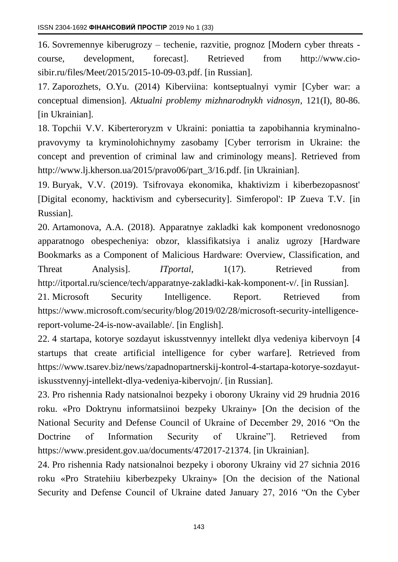16. Sovremennye kiberugrozy – techenie, razvitie, prognoz [Modern cyber threats course, development, forecast]. Retrieved from http://www.ciosibir.ru/files/Meet/2015/2015-10-09-03.pdf. [in Russian].

17. Zaporozhets, O.Yu. (2014) Kiberviina: kontseptualnyi vymir [Cyber war: a conceptual dimension]. *Aktualni problemy mizhnarodnykh vidnosyn,* 121(I), 80-86. [in Ukrainian].

18. Topchii V.V. Kiberteroryzm v Ukraini: poniattia ta zapobihannia kryminalnopravovymy ta kryminolohichnymy zasobamy [Cyber terrorism in Ukraine: the concept and prevention of criminal law and criminology means]. Retrieved from http://www.lj.kherson.ua/2015/pravo06/part\_3/16.pdf. [in Ukrainian].

19. Buryak, V.V. (2019). Tsifrovaya ekonomika, khaktivizm i kiberbezopasnost' [Digital economy, hacktivism and cybersecurity]. Simferopol': IP Zueva T.V. [in Russian].

20. Artamonova, A.A. (2018). Apparatnye zakladki kak komponent vredonosnogo apparatnogo obespecheniya: obzor, klassifikatsiya i analiz ugrozy [Hardware Bookmarks as a Component of Malicious Hardware: Overview, Classification, and Threat Analysis]. *ITportal*, 1(17). Retrieved from http://itportal.ru/science/tech/apparatnye-zakladki-kak-komponent-v/. [in Russian].

21. Microsoft Security Intelligence. Report. Retrieved from [https://www.microsoft.com/security/blog/2019/02/28/microsoft-security-intelligence](https://www.microsoft.com/security/blog/2019/02/28/microsoft-security-intelligence-report-volume-24-is-now-available/)[report-volume-24-is-now-available/.](https://www.microsoft.com/security/blog/2019/02/28/microsoft-security-intelligence-report-volume-24-is-now-available/) [in English].

22. 4 startapa, kotorye sozdayut iskusstvennyy intellekt dlya vedeniya kibervoyn [4 startups that create artificial intelligence for cyber warfare]. Retrieved from [https://www.tsarev.biz/news/zapadnopartnerskij-kontrol-4-startapa-kotorye-sozdayut](https://www.tsarev.biz/news/zapadnopartnerskij-kontrol-4-startapa-kotorye-sozdayut-iskusstvennyj-intellekt-dlya-vedeniya-kibervojn/)[iskusstvennyj-intellekt-dlya-vedeniya-kibervojn/.](https://www.tsarev.biz/news/zapadnopartnerskij-kontrol-4-startapa-kotorye-sozdayut-iskusstvennyj-intellekt-dlya-vedeniya-kibervojn/) [in Russian].

23. Pro rishennia Rady natsionalnoi bezpeky i oborony Ukrainy vid 29 hrudnia 2016 roku. «Pro Doktrynu informatsiinoi bezpeky Ukrainy» [On the decision of the National Security and Defense Council of Ukraine of December 29, 2016 "On the Doctrine of Information Security of Ukraine"]. Retrieved from [https://www.president.gov.ua/documents/472017-21374.](https://www.president.gov.ua/documents/472017-21374) [in Ukrainian].

24. Pro rishennia Rady natsionalnoi bezpeky i oborony Ukrainy vid 27 sichnia 2016 roku «Pro Stratehiiu kiberbezpeky Ukrainy» [On the decision of the National Security and Defense Council of Ukraine dated January 27, 2016 "On the Cyber

143